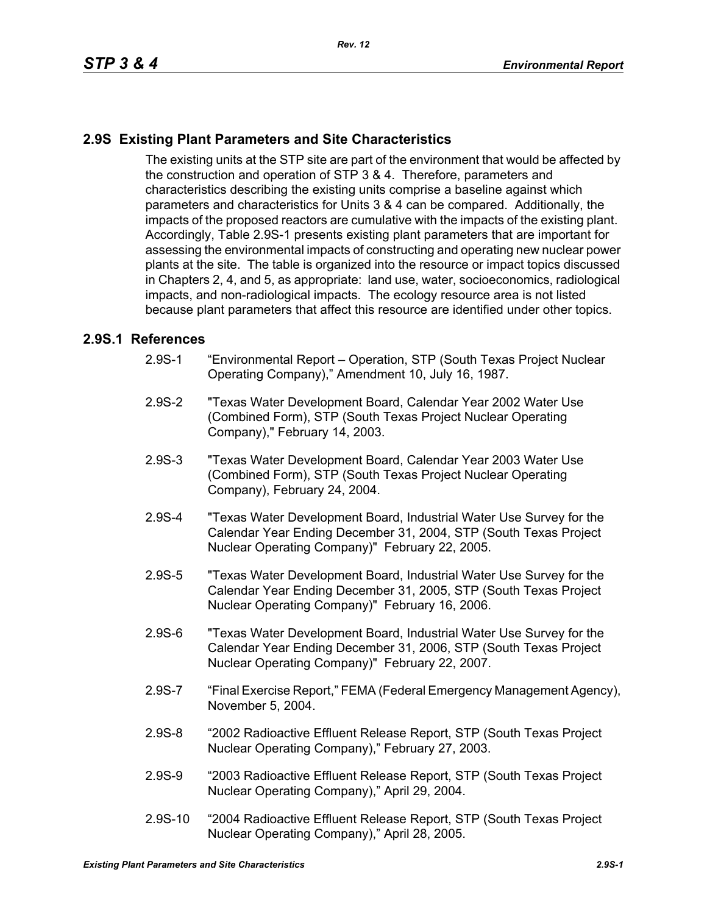## **2.9S Existing Plant Parameters and Site Characteristics**

The existing units at the STP site are part of the environment that would be affected by the construction and operation of STP 3 & 4. Therefore, parameters and characteristics describing the existing units comprise a baseline against which parameters and characteristics for Units 3 & 4 can be compared. Additionally, the impacts of the proposed reactors are cumulative with the impacts of the existing plant. Accordingly, Table 2.9S-1 presents existing plant parameters that are important for assessing the environmental impacts of constructing and operating new nuclear power plants at the site. The table is organized into the resource or impact topics discussed in Chapters 2, 4, and 5, as appropriate: land use, water, socioeconomics, radiological impacts, and non-radiological impacts. The ecology resource area is not listed because plant parameters that affect this resource are identified under other topics.

## **2.9S.1 References**

- 2.9S-1 "Environmental Report Operation, STP (South Texas Project Nuclear Operating Company)," Amendment 10, July 16, 1987.
- 2.9S-2 "Texas Water Development Board, Calendar Year 2002 Water Use (Combined Form), STP (South Texas Project Nuclear Operating Company)," February 14, 2003.
- 2.9S-3 "Texas Water Development Board, Calendar Year 2003 Water Use (Combined Form), STP (South Texas Project Nuclear Operating Company), February 24, 2004.
- 2.9S-4 "Texas Water Development Board, Industrial Water Use Survey for the Calendar Year Ending December 31, 2004, STP (South Texas Project Nuclear Operating Company)" February 22, 2005.
- 2.9S-5 "Texas Water Development Board, Industrial Water Use Survey for the Calendar Year Ending December 31, 2005, STP (South Texas Project Nuclear Operating Company)" February 16, 2006.
- 2.9S-6 "Texas Water Development Board, Industrial Water Use Survey for the Calendar Year Ending December 31, 2006, STP (South Texas Project Nuclear Operating Company)" February 22, 2007.
- 2.9S-7 "Final Exercise Report," FEMA (Federal Emergency Management Agency), November 5, 2004.
- 2.9S-8 "2002 Radioactive Effluent Release Report, STP (South Texas Project Nuclear Operating Company)," February 27, 2003.
- 2.9S-9 "2003 Radioactive Effluent Release Report, STP (South Texas Project Nuclear Operating Company)," April 29, 2004.
- 2.9S-10 "2004 Radioactive Effluent Release Report, STP (South Texas Project Nuclear Operating Company)," April 28, 2005.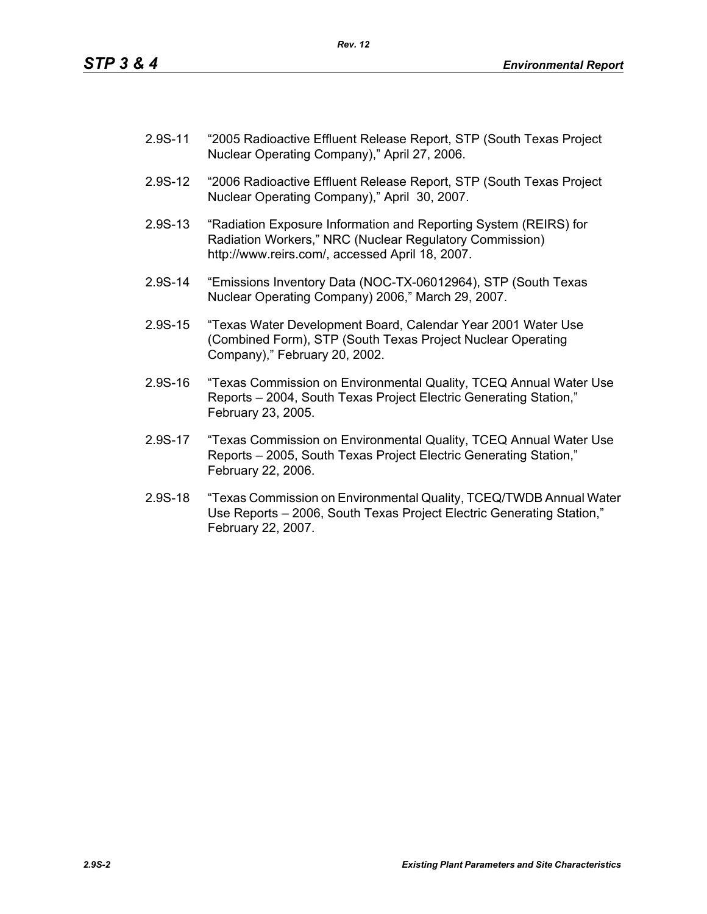- 2.9S-11 "2005 Radioactive Effluent Release Report, STP (South Texas Project Nuclear Operating Company)," April 27, 2006.
- 2.9S-12 "2006 Radioactive Effluent Release Report, STP (South Texas Project Nuclear Operating Company)," April 30, 2007.
- 2.9S-13 "Radiation Exposure Information and Reporting System (REIRS) for Radiation Workers," NRC (Nuclear Regulatory Commission) http://www.reirs.com/, accessed April 18, 2007.
- 2.9S-14 "Emissions Inventory Data (NOC-TX-06012964), STP (South Texas Nuclear Operating Company) 2006," March 29, 2007.
- 2.9S-15 "Texas Water Development Board, Calendar Year 2001 Water Use (Combined Form), STP (South Texas Project Nuclear Operating Company)," February 20, 2002.
- 2.9S-16 "Texas Commission on Environmental Quality, TCEQ Annual Water Use Reports – 2004, South Texas Project Electric Generating Station," February 23, 2005.
- 2.9S-17 "Texas Commission on Environmental Quality, TCEQ Annual Water Use Reports – 2005, South Texas Project Electric Generating Station," February 22, 2006.
- 2.9S-18 "Texas Commission on Environmental Quality, TCEQ/TWDB Annual Water Use Reports – 2006, South Texas Project Electric Generating Station," February 22, 2007.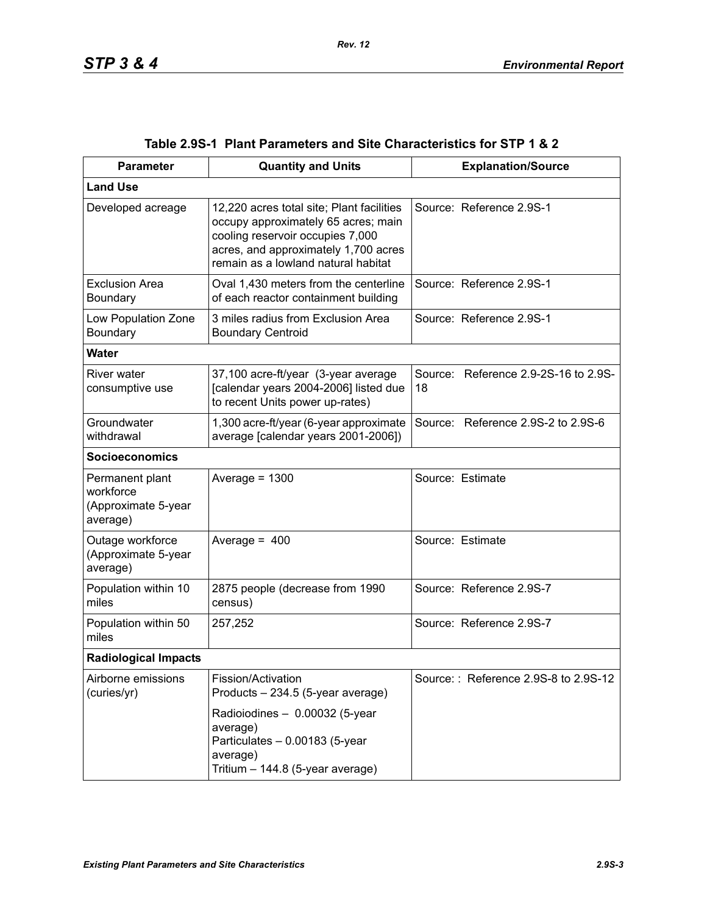| <b>Parameter</b>                                                | <b>Quantity and Units</b>                                                                                                                                                                           | <b>Explanation/Source</b>                  |  |  |
|-----------------------------------------------------------------|-----------------------------------------------------------------------------------------------------------------------------------------------------------------------------------------------------|--------------------------------------------|--|--|
| <b>Land Use</b>                                                 |                                                                                                                                                                                                     |                                            |  |  |
| Developed acreage                                               | 12,220 acres total site; Plant facilities<br>occupy approximately 65 acres; main<br>cooling reservoir occupies 7,000<br>acres, and approximately 1,700 acres<br>remain as a lowland natural habitat | Source: Reference 2.9S-1                   |  |  |
| <b>Exclusion Area</b><br>Boundary                               | Oval 1,430 meters from the centerline<br>of each reactor containment building                                                                                                                       | Source: Reference 2.9S-1                   |  |  |
| Low Population Zone<br>Boundary                                 | 3 miles radius from Exclusion Area<br><b>Boundary Centroid</b>                                                                                                                                      | Source: Reference 2.9S-1                   |  |  |
| <b>Water</b>                                                    |                                                                                                                                                                                                     |                                            |  |  |
| River water<br>consumptive use                                  | 37,100 acre-ft/year (3-year average<br>[calendar years 2004-2006] listed due<br>to recent Units power up-rates)                                                                                     | Source: Reference 2.9-2S-16 to 2.9S-<br>18 |  |  |
| Groundwater<br>withdrawal                                       | 1,300 acre-ft/year (6-year approximate<br>average [calendar years 2001-2006])                                                                                                                       | Source: Reference 2.9S-2 to 2.9S-6         |  |  |
| <b>Socioeconomics</b>                                           |                                                                                                                                                                                                     |                                            |  |  |
| Permanent plant<br>workforce<br>(Approximate 5-year<br>average) | Average = $1300$                                                                                                                                                                                    | Source: Estimate                           |  |  |
| Outage workforce<br>(Approximate 5-year<br>average)             | Average = $400$                                                                                                                                                                                     | Source: Estimate                           |  |  |
| Population within 10<br>miles                                   | 2875 people (decrease from 1990<br>census)                                                                                                                                                          | Source: Reference 2.9S-7                   |  |  |
| Population within 50<br>miles                                   | 257,252                                                                                                                                                                                             | Source: Reference 2.9S-7                   |  |  |
| <b>Radiological Impacts</b>                                     |                                                                                                                                                                                                     |                                            |  |  |
| Airborne emissions<br>(curies/yr)                               | Fission/Activation<br>Products - 234.5 (5-year average)                                                                                                                                             | Source:: Reference 2.9S-8 to 2.9S-12       |  |  |
|                                                                 | Radioiodines - 0.00032 (5-year<br>average)<br>Particulates - 0.00183 (5-year<br>average)<br>Tritium - 144.8 (5-year average)                                                                        |                                            |  |  |

|  | Table 2.9S-1   Plant Parameters and Site Characteristics for STP 1 & 2 |  |  |
|--|------------------------------------------------------------------------|--|--|
|--|------------------------------------------------------------------------|--|--|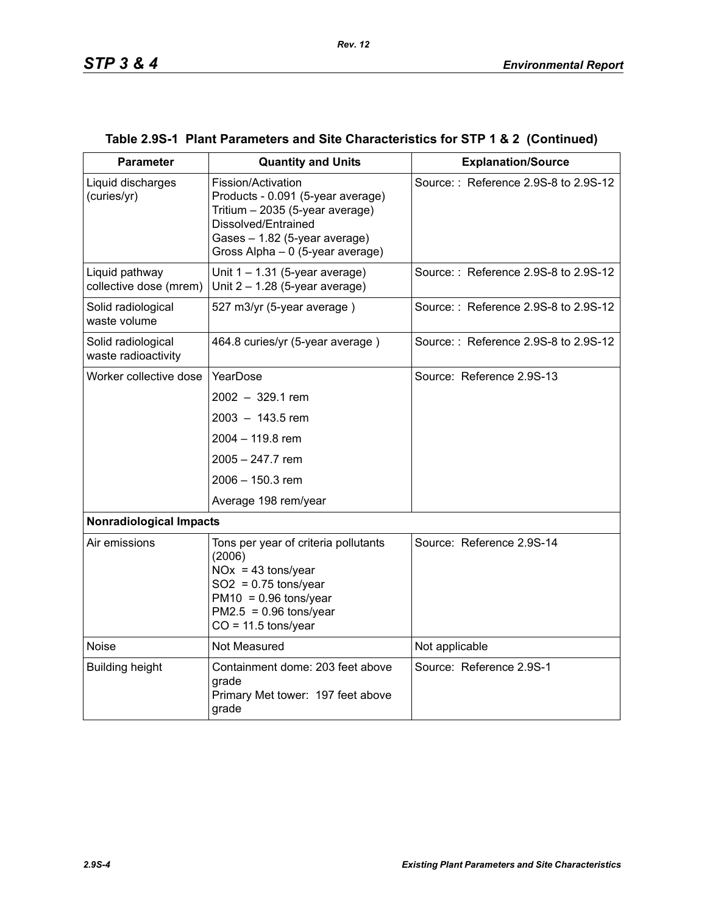| <b>Parameter</b>                          | <b>Quantity and Units</b>                                                                                                                                                              | <b>Explanation/Source</b>            |
|-------------------------------------------|----------------------------------------------------------------------------------------------------------------------------------------------------------------------------------------|--------------------------------------|
| Liquid discharges<br>(curies/yr)          | Fission/Activation<br>Products - 0.091 (5-year average)<br>Tritium - 2035 (5-year average)<br>Dissolved/Entrained<br>Gases - 1.82 (5-year average)<br>Gross Alpha - 0 (5-year average) | Source:: Reference 2.9S-8 to 2.9S-12 |
| Liquid pathway<br>collective dose (mrem)  | Unit $1 - 1.31$ (5-year average)<br>Unit $2 - 1.28$ (5-year average)                                                                                                                   | Source:: Reference 2.9S-8 to 2.9S-12 |
| Solid radiological<br>waste volume        | 527 m3/yr (5-year average)                                                                                                                                                             | Source:: Reference 2.9S-8 to 2.9S-12 |
| Solid radiological<br>waste radioactivity | 464.8 curies/yr (5-year average)                                                                                                                                                       | Source:: Reference 2.9S-8 to 2.9S-12 |
| Worker collective dose                    | YearDose                                                                                                                                                                               | Source: Reference 2.9S-13            |
|                                           | $2002 - 329.1$ rem                                                                                                                                                                     |                                      |
|                                           | $2003 - 143.5$ rem                                                                                                                                                                     |                                      |
|                                           | 2004 - 119.8 rem                                                                                                                                                                       |                                      |
|                                           | $2005 - 247.7$ rem                                                                                                                                                                     |                                      |
|                                           | 2006 - 150.3 rem                                                                                                                                                                       |                                      |
|                                           | Average 198 rem/year                                                                                                                                                                   |                                      |
| <b>Nonradiological Impacts</b>            |                                                                                                                                                                                        |                                      |
| Air emissions                             | Tons per year of criteria pollutants<br>(2006)<br>$NOx = 43$ tons/year<br>$SO2 = 0.75$ tons/year<br>$PM10 = 0.96$ tons/year<br>$PM2.5 = 0.96$ tons/year<br>$CO = 11.5$ tons/year       | Source: Reference 2.9S-14            |
| <b>Noise</b>                              | Not Measured                                                                                                                                                                           | Not applicable                       |
| <b>Building height</b>                    | Containment dome: 203 feet above<br>grade<br>Primary Met tower: 197 feet above<br>grade                                                                                                | Source: Reference 2.9S-1             |

## **Table 2.9S-1 Plant Parameters and Site Characteristics for STP 1 & 2 (Continued)**